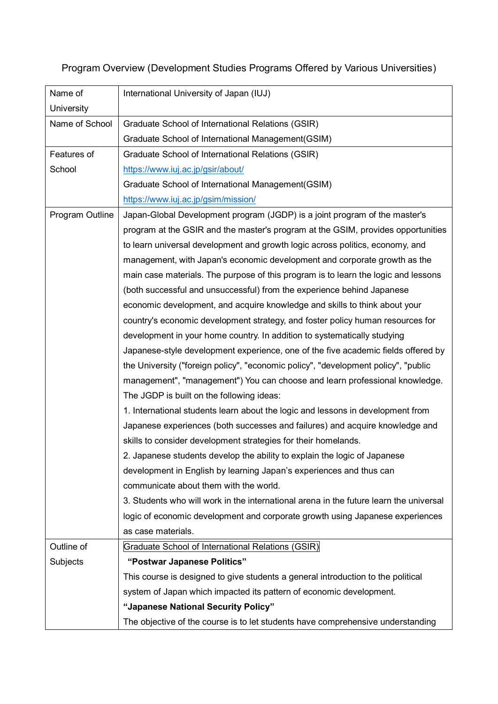# Program Overview (Development Studies Programs Offered by Various Universities)

| Name of         | International University of Japan (IUJ)                                                |
|-----------------|----------------------------------------------------------------------------------------|
| University      |                                                                                        |
| Name of School  | Graduate School of International Relations (GSIR)                                      |
|                 | Graduate School of International Management(GSIM)                                      |
|                 |                                                                                        |
| Features of     | Graduate School of International Relations (GSIR)                                      |
| School          | https://www.iuj.ac.jp/gsir/about/                                                      |
|                 | Graduate School of International Management(GSIM)                                      |
|                 | https://www.iuj.ac.jp/gsim/mission/                                                    |
| Program Outline | Japan-Global Development program (JGDP) is a joint program of the master's             |
|                 | program at the GSIR and the master's program at the GSIM, provides opportunities       |
|                 | to learn universal development and growth logic across politics, economy, and          |
|                 | management, with Japan's economic development and corporate growth as the              |
|                 | main case materials. The purpose of this program is to learn the logic and lessons     |
|                 | (both successful and unsuccessful) from the experience behind Japanese                 |
|                 | economic development, and acquire knowledge and skills to think about your             |
|                 | country's economic development strategy, and foster policy human resources for         |
|                 | development in your home country. In addition to systematically studying               |
|                 | Japanese-style development experience, one of the five academic fields offered by      |
|                 | the University ("foreign policy", "economic policy", "development policy", "public     |
|                 | management", "management") You can choose and learn professional knowledge.            |
|                 | The JGDP is built on the following ideas:                                              |
|                 | 1. International students learn about the logic and lessons in development from        |
|                 | Japanese experiences (both successes and failures) and acquire knowledge and           |
|                 | skills to consider development strategies for their homelands.                         |
|                 | 2. Japanese students develop the ability to explain the logic of Japanese              |
|                 | development in English by learning Japan's experiences and thus can                    |
|                 | communicate about them with the world.                                                 |
|                 | 3. Students who will work in the international arena in the future learn the universal |
|                 | logic of economic development and corporate growth using Japanese experiences          |
|                 | as case materials.                                                                     |
|                 |                                                                                        |
| Outline of      | Graduate School of International Relations (GSIR)                                      |
| Subjects        | "Postwar Japanese Politics"                                                            |
|                 | This course is designed to give students a general introduction to the political       |
|                 | system of Japan which impacted its pattern of economic development.                    |
|                 | "Japanese National Security Policy"                                                    |
|                 | The objective of the course is to let students have comprehensive understanding        |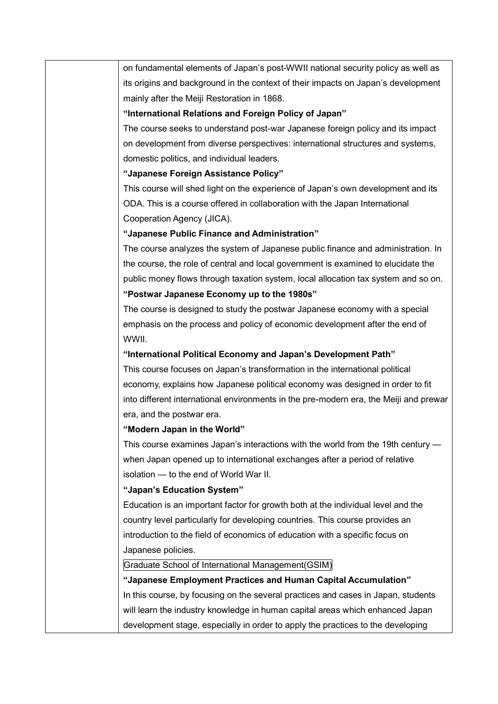on fundamental elements of Japan's post-WWII national security policy as well as its origins and background in the context of their impacts on Japan's development mainly after the Meiji Restoration in 1868.

#### **"International Relations and Foreign Policy of Japan"**

The course seeks to understand post-war Japanese foreign policy and its impact on development from diverse perspectives: international structures and systems, domestic politics, and individual leaders.

## **"Japanese Foreign Assistance Policy"**

This course will shed light on the experience of Japan's own development and its ODA. This is a course offered in collaboration with the Japan International Cooperation Agency (JICA).

#### **"Japanese Public Finance and Administration"**

The course analyzes the system of Japanese public finance and administration. In the course, the role of central and local government is examined to elucidate the public money flows through taxation system, local allocation tax system and so on. **"Postwar Japanese Economy up to the 1980s"**

The course is designed to study the postwar Japanese economy with a special emphasis on the process and policy of economic development after the end of WWII.

## **"International Political Economy and Japan's Development Path"**

This course focuses on Japan's transformation in the international political economy, explains how Japanese political economy was designed in order to fit into different international environments in the pre-modern era, the Meiji and prewar era, and the postwar era.

# **"Modern Japan in the World"**

This course examines Japan's interactions with the world from the 19th century when Japan opened up to international exchanges after a period of relative isolation — to the end of World War II.

# **"Japan's Education System"**

Education is an important factor for growth both at the individual level and the country level particularly for developing countries. This course provides an introduction to the field of economics of education with a specific focus on Japanese policies.

#### Graduate School of International Management(GSIM)

**"Japanese Employment Practices and Human Capital Accumulation"** In this course, by focusing on the several practices and cases in Japan, students will learn the industry knowledge in human capital areas which enhanced Japan development stage, especially in order to apply the practices to the developing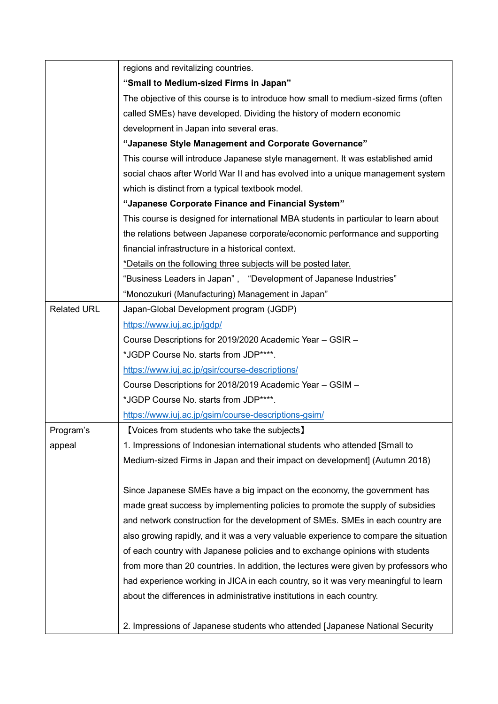|                    | regions and revitalizing countries.                                                  |
|--------------------|--------------------------------------------------------------------------------------|
|                    | "Small to Medium-sized Firms in Japan"                                               |
|                    | The objective of this course is to introduce how small to medium-sized firms (often  |
|                    | called SMEs) have developed. Dividing the history of modern economic                 |
|                    | development in Japan into several eras.                                              |
|                    | "Japanese Style Management and Corporate Governance"                                 |
|                    | This course will introduce Japanese style management. It was established amid        |
|                    | social chaos after World War II and has evolved into a unique management system      |
|                    | which is distinct from a typical textbook model.                                     |
|                    | "Japanese Corporate Finance and Financial System"                                    |
|                    | This course is designed for international MBA students in particular to learn about  |
|                    | the relations between Japanese corporate/economic performance and supporting         |
|                    | financial infrastructure in a historical context.                                    |
|                    | *Details on the following three subjects will be posted later.                       |
|                    | "Business Leaders in Japan", "Development of Japanese Industries"                    |
|                    | "Monozukuri (Manufacturing) Management in Japan"                                     |
| <b>Related URL</b> | Japan-Global Development program (JGDP)                                              |
|                    | https://www.iuj.ac.jp/jgdp/                                                          |
|                    | Course Descriptions for 2019/2020 Academic Year - GSIR -                             |
|                    | *JGDP Course No. starts from JDP****.                                                |
|                    | https://www.iuj.ac.jp/gsir/course-descriptions/                                      |
|                    | Course Descriptions for 2018/2019 Academic Year - GSIM -                             |
|                    | *JGDP Course No. starts from JDP****.                                                |
|                    | https://www.iuj.ac.jp/gsim/course-descriptions-gsim/                                 |
| Program's          | [Voices from students who take the subjects]                                         |
| appeal             | 1. Impressions of Indonesian international students who attended [Small to           |
|                    | Medium-sized Firms in Japan and their impact on development] (Autumn 2018)           |
|                    | Since Japanese SMEs have a big impact on the economy, the government has             |
|                    | made great success by implementing policies to promote the supply of subsidies       |
|                    | and network construction for the development of SMEs. SMEs in each country are       |
|                    | also growing rapidly, and it was a very valuable experience to compare the situation |
|                    | of each country with Japanese policies and to exchange opinions with students        |
|                    | from more than 20 countries. In addition, the lectures were given by professors who  |
|                    | had experience working in JICA in each country, so it was very meaningful to learn   |
|                    | about the differences in administrative institutions in each country.                |
|                    | 2. Impressions of Japanese students who attended [Japanese National Security         |